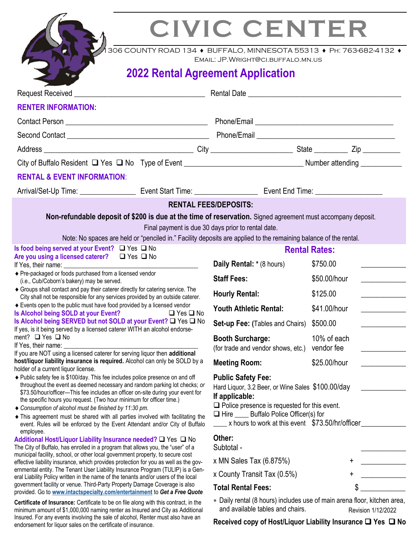endorsement for liquor sales on the certificate of insurance.

# **CIVIC CENTER**

1306 COUNTY ROAD 134 ♦ BUFFALO, MINNESOTA 55313 ♦ Ph: 763-682-4132 ♦

Email: JP.Wright@ci.buffalo.mn.us

## **2022 Rental Agreement Application**

| <b>RENTER INFORMATION:</b>                                                                                                                                                                                                                                                                                                                                                                                                                                                                                                                          |                                                                                                                                                                                                                                                                 |                                                |  |
|-----------------------------------------------------------------------------------------------------------------------------------------------------------------------------------------------------------------------------------------------------------------------------------------------------------------------------------------------------------------------------------------------------------------------------------------------------------------------------------------------------------------------------------------------------|-----------------------------------------------------------------------------------------------------------------------------------------------------------------------------------------------------------------------------------------------------------------|------------------------------------------------|--|
|                                                                                                                                                                                                                                                                                                                                                                                                                                                                                                                                                     | Phone/Email <b>Internative Contract Contract Contract Contract Contract Contract Contract Contract Contract Contract Contract Contract Contract Contract Contract Contract Contract Contract Contract Contract Contract Contract</b>                            |                                                |  |
|                                                                                                                                                                                                                                                                                                                                                                                                                                                                                                                                                     |                                                                                                                                                                                                                                                                 |                                                |  |
|                                                                                                                                                                                                                                                                                                                                                                                                                                                                                                                                                     |                                                                                                                                                                                                                                                                 |                                                |  |
|                                                                                                                                                                                                                                                                                                                                                                                                                                                                                                                                                     |                                                                                                                                                                                                                                                                 |                                                |  |
| <b>RENTAL &amp; EVENT INFORMATION:</b>                                                                                                                                                                                                                                                                                                                                                                                                                                                                                                              |                                                                                                                                                                                                                                                                 |                                                |  |
|                                                                                                                                                                                                                                                                                                                                                                                                                                                                                                                                                     |                                                                                                                                                                                                                                                                 |                                                |  |
|                                                                                                                                                                                                                                                                                                                                                                                                                                                                                                                                                     | <b>RENTAL FEES/DEPOSITS:</b>                                                                                                                                                                                                                                    |                                                |  |
| Non-refundable deposit of \$200 is due at the time of reservation. Signed agreement must accompany deposit.<br>Note: No spaces are held or "penciled in." Facility deposits are applied to the remaining balance of the rental.                                                                                                                                                                                                                                                                                                                     | Final payment is due 30 days prior to rental date.                                                                                                                                                                                                              |                                                |  |
| Is food being served at your Event? $\Box$ Yes $\Box$ No                                                                                                                                                                                                                                                                                                                                                                                                                                                                                            |                                                                                                                                                                                                                                                                 | <b>Rental Rates:</b>                           |  |
| Are you using a licensed caterer? $\Box$ Yes $\Box$ No<br>If Yes, their name: $\frac{1}{2}$ and $\frac{1}{2}$ and $\frac{1}{2}$ and $\frac{1}{2}$ and $\frac{1}{2}$ and $\frac{1}{2}$ and $\frac{1}{2}$ and $\frac{1}{2}$ and $\frac{1}{2}$ and $\frac{1}{2}$ and $\frac{1}{2}$ and $\frac{1}{2}$ and $\frac{1}{2}$ and $\frac{1}{2}$ and $\frac{1$                                                                                                                                                                                                 | Daily Rental: * (8 hours)                                                                                                                                                                                                                                       | \$750.00                                       |  |
| ◆ Pre-packaged or foods purchased from a licensed vendor<br>(i.e., Cub/Coborn's bakery) may be served.                                                                                                                                                                                                                                                                                                                                                                                                                                              | <b>Staff Fees:</b>                                                                                                                                                                                                                                              | \$50.00/hour                                   |  |
| ♦ Groups shall contact and pay their caterer directly for catering service. The<br>City shall not be responsible for any services provided by an outside caterer.                                                                                                                                                                                                                                                                                                                                                                                   | <b>Hourly Rental:</b>                                                                                                                                                                                                                                           | \$125.00                                       |  |
| ♦ Events open to the public must have food provided by a licensed vendor<br>Is Alcohol being SOLD at your Event? □ Yes □ No                                                                                                                                                                                                                                                                                                                                                                                                                         | <b>Youth Athletic Rental:</b>                                                                                                                                                                                                                                   | \$41.00/hour<br>and the company of the company |  |
| Is Alcohol being SERVED but not SOLD at your Event? Q Yes Q No<br>If yes, is it being served by a licensed caterer WITH an alcohol endorse-                                                                                                                                                                                                                                                                                                                                                                                                         | <b>Set-up Fee: (Tables and Chairs)</b>                                                                                                                                                                                                                          | \$500.00                                       |  |
| ment? $\Box$ Yes $\Box$ No                                                                                                                                                                                                                                                                                                                                                                                                                                                                                                                          | <b>Booth Surcharge:</b>                                                                                                                                                                                                                                         | 10% of each                                    |  |
| If Yes, their name: <u>contract the contract of the set of the set of the set of the set of the set of the set of the set of the set of the set of the set of the set of the set of the set of the set of the set of the set of </u><br>If you are NOT using a licensed caterer for serving liquor then additional                                                                                                                                                                                                                                  | (for trade and vendor shows, etc.)                                                                                                                                                                                                                              | vendor fee                                     |  |
| host/liquor liability insurance is required. Alcohol can only be SOLD by a<br>holder of a current liquor license.                                                                                                                                                                                                                                                                                                                                                                                                                                   | <b>Meeting Room:</b>                                                                                                                                                                                                                                            | \$25.00/hour                                   |  |
| ◆ Public safety fee is \$100/day. This fee includes police presence on and off<br>throughout the event as deemed necessary and random parking lot checks; or<br>\$73.50/hour/officer—This fee includes an officer on-site during your event for<br>the specific hours you request. (Two hour minimum for officer time.)<br>◆ Consumption of alcohol must be finished by 11:30 pm.<br>• This agreement must be shared with all parties involved with facilitating the<br>event. Rules will be enforced by the Event Attendant and/or City of Buffalo | <b>Public Safety Fee:</b><br>Hard Liquor, 3.2 Beer, or Wine Sales \$100.00/day<br>If applicable:<br>$\Box$ Police presence is requested for this event.<br>$\Box$ Hire ______ Buffalo Police Officer(s) for<br>x hours to work at this event \$73.50/hr/officer |                                                |  |
| employee.<br>Additional Host/Liquor Liability Insurance needed? □ Yes □ No<br>The City of Buffalo, has enrolled in a program that allows you, the "user" of a                                                                                                                                                                                                                                                                                                                                                                                       | Other:<br>Subtotal -                                                                                                                                                                                                                                            |                                                |  |
| municipal facility, school, or other local government property, to secure cost<br>effective liability insurance, which provides protection for you as well as the gov-                                                                                                                                                                                                                                                                                                                                                                              | x MN Sales Tax $(6.875%)$                                                                                                                                                                                                                                       |                                                |  |
| ernmental entity. The Tenant User Liability Insurance Program (TULIP) is a Gen-<br>eral Liability Policy written in the name of the tenants and/or users of the local                                                                                                                                                                                                                                                                                                                                                                               | x County Transit Tax (0.5%)                                                                                                                                                                                                                                     |                                                |  |
| government facility or venue. Third-Party Property Damage Coverage is also<br>provided. Go to www.intactspecialty.com/entertainment to Get a Free Quote                                                                                                                                                                                                                                                                                                                                                                                             | <b>Total Rental Fees:</b>                                                                                                                                                                                                                                       |                                                |  |
| <b>Certificate of Insurance:</b> Certificate to be on file along with this contract, in the<br>minimum amount of \$1,000,000 naming renter as Insured and City as Additional<br>Insured. For any events involving the sale of alcohol, Renter must also have an                                                                                                                                                                                                                                                                                     | * Daily rental (8 hours) includes use of main arena floor, kitchen area,<br>and available tables and chairs.<br>Revision 1/12/2022<br><b>Descripted copy of Hoot Liquidal Lightlify Incurance <math>\Box</math> Vec <math>\Box</math> No.</b>                   |                                                |  |

**Received copy of Host/Liquor Liability Insurance** ❑ **Yes** ❑ **No**